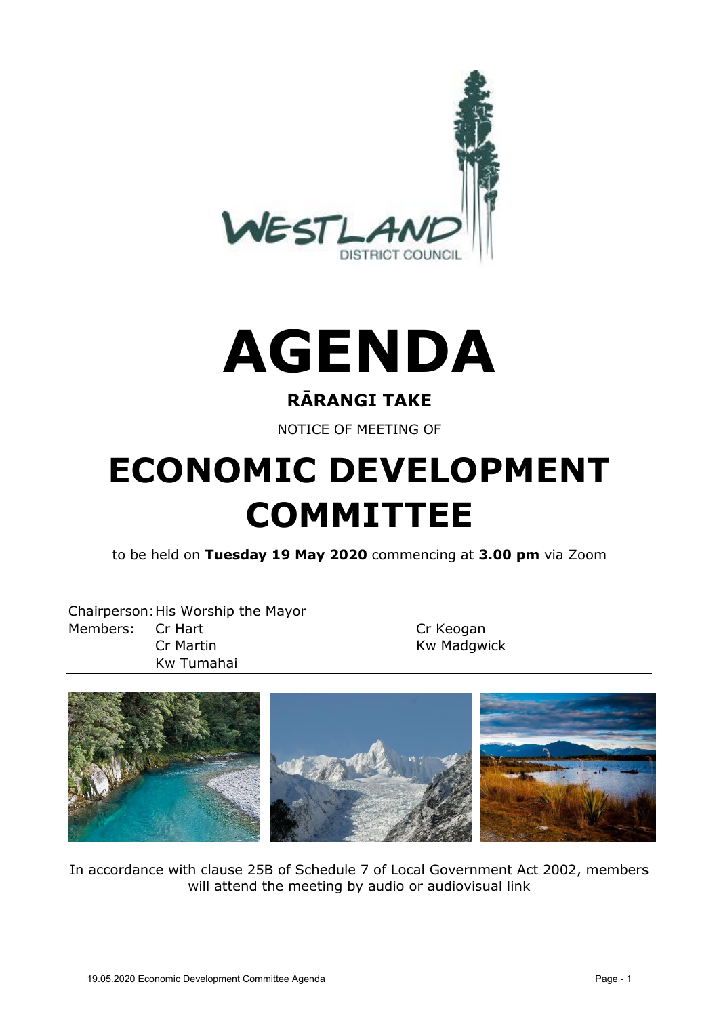



#### **RĀRANGI TAKE**

NOTICE OF MEETING OF

# **ECONOMIC DEVELOPMENT COMMITTEE**

to be held on **Tuesday 19 May 2020** commencing at **3.00 pm** via Zoom

Chairperson:His Worship the Mayor Members: Cr Hart Cr Keogan Cr Martin **Kw Madgwick** Kw Tumahai



In accordance with clause 25B of Schedule 7 of Local Government Act 2002, members will attend the meeting by audio or audiovisual link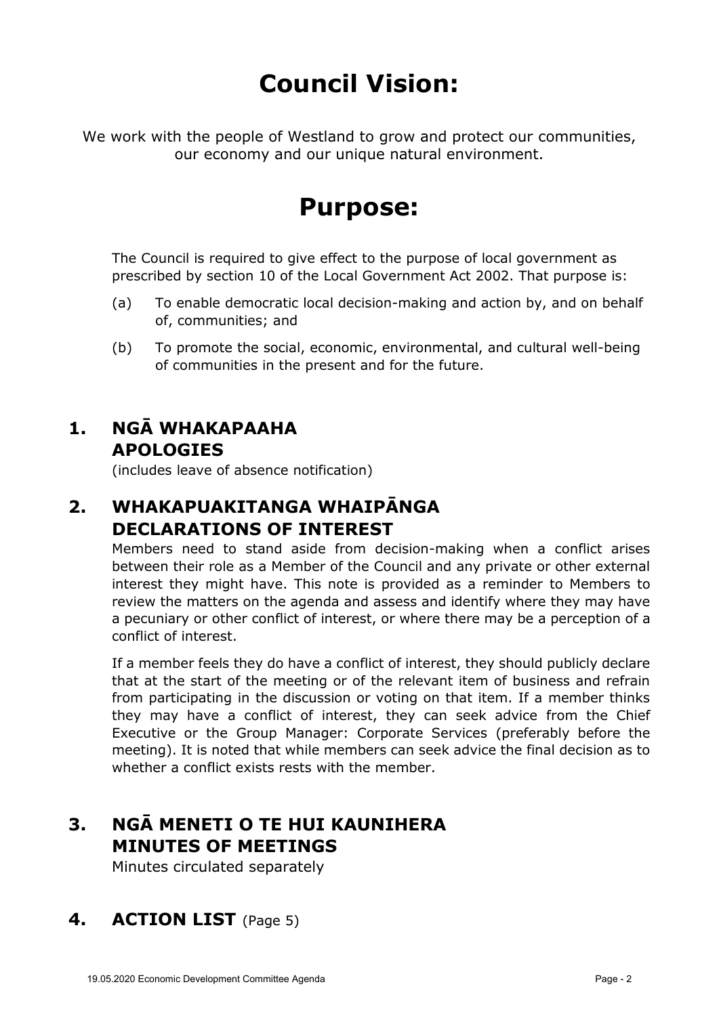# **Council Vision:**

We work with the people of Westland to grow and protect our communities, our economy and our unique natural environment.

## **Purpose:**

The Council is required to give effect to the purpose of local government as prescribed by section 10 of the Local Government Act 2002. That purpose is:

- (a) To enable democratic local decision-making and action by, and on behalf of, communities; and
- (b) To promote the social, economic, environmental, and cultural well-being of communities in the present and for the future.

### **1. NGĀ WHAKAPAAHA APOLOGIES**

(includes leave of absence notification)

#### **2. WHAKAPUAKITANGA WHAIPĀNGA DECLARATIONS OF INTEREST**

Members need to stand aside from decision-making when a conflict arises between their role as a Member of the Council and any private or other external interest they might have. This note is provided as a reminder to Members to review the matters on the agenda and assess and identify where they may have a pecuniary or other conflict of interest, or where there may be a perception of a conflict of interest.

If a member feels they do have a conflict of interest, they should publicly declare that at the start of the meeting or of the relevant item of business and refrain from participating in the discussion or voting on that item. If a member thinks they may have a conflict of interest, they can seek advice from the Chief Executive or the Group Manager: Corporate Services (preferably before the meeting). It is noted that while members can seek advice the final decision as to whether a conflict exists rests with the member.

## **3. NGĀ MENETI O TE HUI KAUNIHERA MINUTES OF MEETINGS**

Minutes circulated separately

#### **4. ACTION LIST** (Page 5)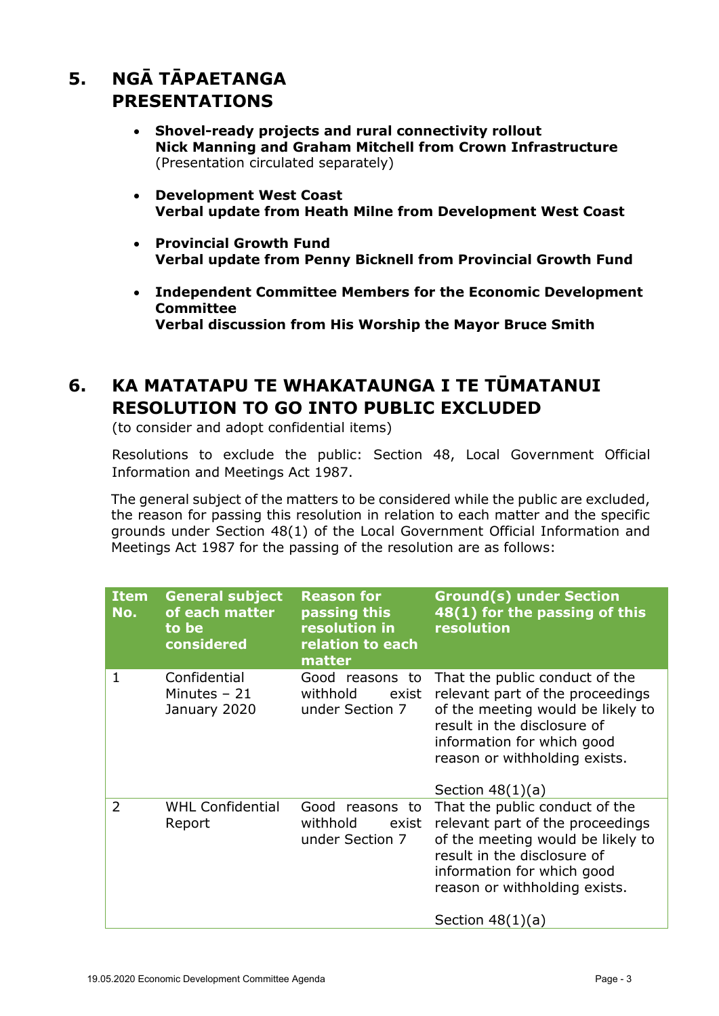### **5. NGĀ TĀPAETANGA PRESENTATIONS**

- **Shovel-ready projects and rural connectivity rollout Nick Manning and Graham Mitchell from Crown Infrastructure** (Presentation circulated separately)
- **Development West Coast Verbal update from Heath Milne from Development West Coast**
- **Provincial Growth Fund Verbal update from Penny Bicknell from Provincial Growth Fund**
- **Independent Committee Members for the Economic Development Committee Verbal discussion from His Worship the Mayor Bruce Smith**

#### **6. KA MATATAPU TE WHAKATAUNGA I TE TŪMATANUI RESOLUTION TO GO INTO PUBLIC EXCLUDED**

(to consider and adopt confidential items)

Resolutions to exclude the public: Section 48, Local Government Official Information and Meetings Act 1987.

The general subject of the matters to be considered while the public are excluded, the reason for passing this resolution in relation to each matter and the specific grounds under Section 48(1) of the Local Government Official Information and Meetings Act 1987 for the passing of the resolution are as follows:

| <b>Item</b><br>No. | <b>General subject</b><br>of each matter<br>to be<br>considered | <b>Reason for</b><br>passing this<br>resolution in<br>relation to each<br>matter | <b>Ground(s) under Section</b><br>48(1) for the passing of this<br>resolution                                                                                                                                               |
|--------------------|-----------------------------------------------------------------|----------------------------------------------------------------------------------|-----------------------------------------------------------------------------------------------------------------------------------------------------------------------------------------------------------------------------|
| 1                  | Confidential<br>Minutes $-21$<br>January 2020                   | Good reasons to<br>withhold<br>exist<br>under Section 7                          | That the public conduct of the<br>relevant part of the proceedings<br>of the meeting would be likely to<br>result in the disclosure of<br>information for which good<br>reason or withholding exists.<br>Section $48(1)(a)$ |
| $\overline{2}$     | <b>WHL Confidential</b><br>Report                               | Good reasons to<br>withhold<br>exist<br>under Section 7                          | That the public conduct of the<br>relevant part of the proceedings<br>of the meeting would be likely to<br>result in the disclosure of<br>information for which good<br>reason or withholding exists.<br>Section $48(1)(a)$ |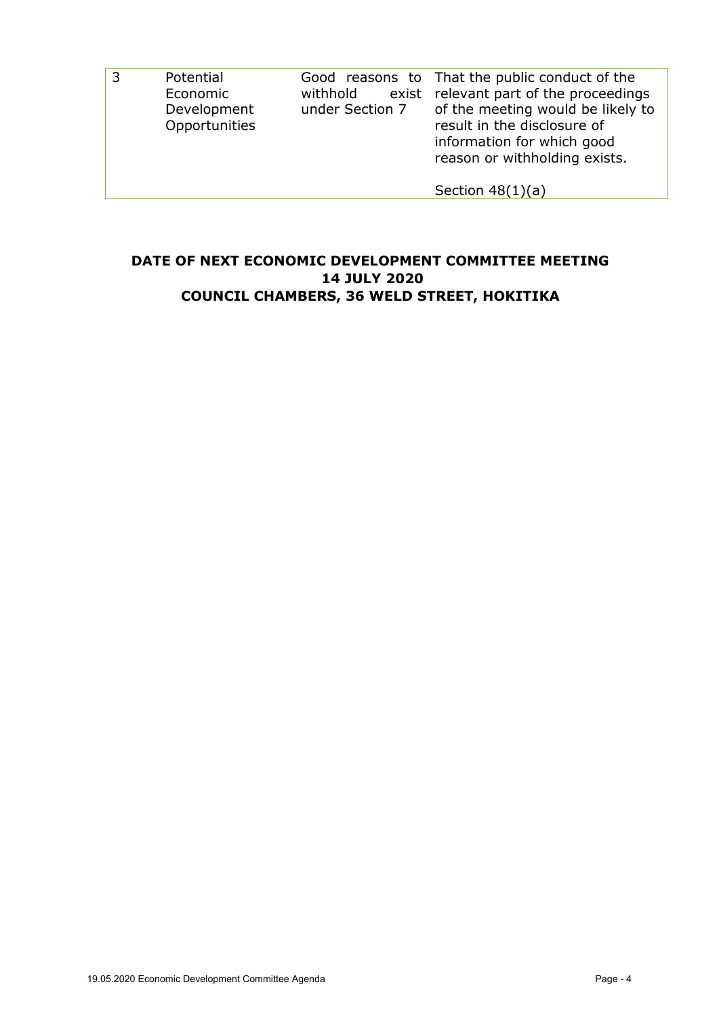| Potential<br>Economic<br>Development<br>Opportunities | withhold | Good reasons to That the public conduct of the<br>exist relevant part of the proceedings<br>under Section 7 of the meeting would be likely to<br>result in the disclosure of<br>information for which good<br>reason or withholding exists. |
|-------------------------------------------------------|----------|---------------------------------------------------------------------------------------------------------------------------------------------------------------------------------------------------------------------------------------------|
|                                                       |          | Section $48(1)(a)$                                                                                                                                                                                                                          |

#### **DATE OF NEXT ECONOMIC DEVELOPMENT COMMITTEE MEETING 14 JULY 2020 COUNCIL CHAMBERS, 36 WELD STREET, HOKITIKA**